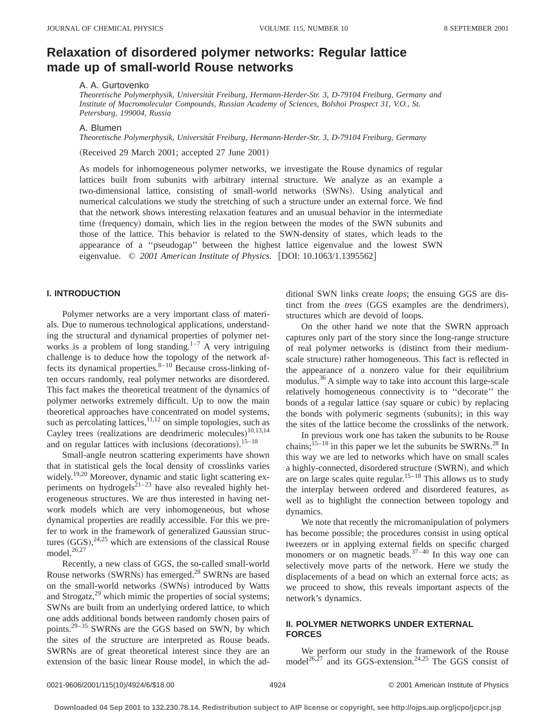# **Relaxation of disordered polymer networks: Regular lattice made up of small-world Rouse networks**

#### A. A. Gurtovenko

*Theoretische Polymerphysik, Universita¨t Freiburg, Hermann-Herder-Str. 3, D-79104 Freiburg, Germany and Institute of Macromolecular Compounds, Russian Academy of Sciences, Bolshoi Prospect 31, V.O., St. Petersburg, 199004, Russia*

A. Blumen

*Theoretische Polymerphysik, Universita¨t Freiburg, Hermann-Herder-Str. 3, D-79104 Freiburg, Germany*

 $(Received 29 March 2001; accepted 27 June 2001)$ 

As models for inhomogeneous polymer networks, we investigate the Rouse dynamics of regular lattices built from subunits with arbitrary internal structure. We analyze as an example a two-dimensional lattice, consisting of small-world networks (SWNs). Using analytical and numerical calculations we study the stretching of such a structure under an external force. We find that the network shows interesting relaxation features and an unusual behavior in the intermediate time (frequency) domain, which lies in the region between the modes of the SWN subunits and those of the lattice. This behavior is related to the SWN-density of states, which leads to the appearance of a ''pseudogap'' between the highest lattice eigenvalue and the lowest SWN eigenvalue. © 2001 American Institute of Physics. [DOI: 10.1063/1.1395562]

#### **I. INTRODUCTION**

Polymer networks are a very important class of materials. Due to numerous technological applications, understanding the structural and dynamical properties of polymer networks is a problem of long standing.<sup>1-7</sup> A very intriguing challenge is to deduce how the topology of the network affects its dynamical properties. $8-10$  Because cross-linking often occurs randomly, real polymer networks are disordered. This fact makes the theoretical treatment of the dynamics of polymer networks extremely difficult. Up to now the main theoretical approaches have concentrated on model systems, such as percolating lattices, $11,12$  on simple topologies, such as Cayley trees (realizations are dendrimeric molecules) $10,13,14$ and on regular lattices with inclusions (decorations).  $15-18$ 

Small-angle neutron scattering experiments have shown that in statistical gels the local density of crosslinks varies widely.<sup>19,20</sup> Moreover, dynamic and static light scattering experiments on hydrogels<sup>21–23</sup> have also revealed highly heterogeneous structures. We are thus interested in having network models which are very inhomogeneous, but whose dynamical properties are readily accessible. For this we prefer to work in the framework of generalized Gaussian structures  $(GGS)$ ,  $^{24,25}$  which are extensions of the classical Rouse model.<sup>26,27</sup>

Recently, a new class of GGS, the so-called small-world Rouse networks (SWRNs) has emerged.<sup>28</sup> SWRNs are based on the small-world networks (SWNs) introduced by Watts and Strogatz, $29$  which mimic the properties of social systems; SWNs are built from an underlying ordered lattice, to which one adds additional bonds between randomly chosen pairs of points.29–35 SWRNs are the GGS based on SWN, by which the sites of the structure are interpreted as Rouse beads. SWRNs are of great theoretical interest since they are an extension of the basic linear Rouse model, in which the additional SWN links create *loops*; the ensuing GGS are distinct from the *trees* (GGS examples are the dendrimers), structures which are devoid of loops.

On the other hand we note that the SWRN approach captures only part of the story since the long-range structure of real polymer networks is (distinct from their mediumscale structure) rather homogeneous. This fact is reflected in the appearance of a nonzero value for their equilibrium modulus.<sup>36</sup> A simple way to take into account this large-scale relatively homogeneous connectivity is to ''decorate'' the bonds of a regular lattice (say square or cubic) by replacing the bonds with polymeric segments (subunits); in this way the sites of the lattice become the crosslinks of the network.

In previous work one has taken the subunits to be Rouse chains;  $15-18$  in this paper we let the subunits be SWRNs.<sup>28</sup> In this way we are led to networks which have on small scales a highly-connected, disordered structure (SWRN), and which are on large scales quite regular.<sup>15–18</sup> This allows us to study the interplay between ordered and disordered features, as well as to highlight the connection between topology and dynamics.

We note that recently the micromanipulation of polymers has become possible; the procedures consist in using optical tweezers or in applying external fields on specific charged monomers or on magnetic beads.<sup>37–40</sup> In this way one can selectively move parts of the network. Here we study the displacements of a bead on which an external force acts; as we proceed to show, this reveals important aspects of the network's dynamics.

## **II. POLYMER NETWORKS UNDER EXTERNAL FORCES**

We perform our study in the framework of the Rouse model<sup>26, $\frac{1}{27}$ </sup> and its GGS-extension.<sup>24,25</sup> The GGS consist of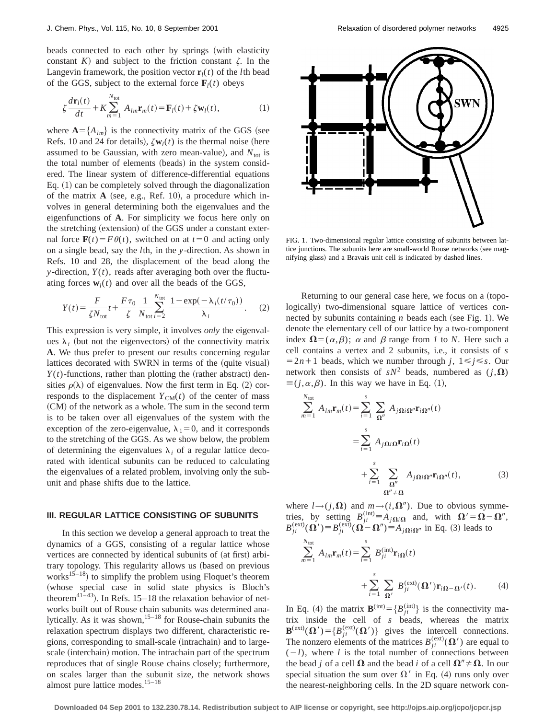beads connected to each other by springs (with elasticity constant  $K$ ) and subject to the friction constant  $\zeta$ . In the Langevin framework, the position vector  $\mathbf{r}_i(t)$  of the *l*th bead of the GGS, subject to the external force  $\mathbf{F}_l(t)$  obeys

$$
\zeta \frac{d\mathbf{r}_l(t)}{dt} + K \sum_{m=1}^{N_{\text{tot}}} A_{lm} \mathbf{r}_m(t) = \mathbf{F}_l(t) + \zeta \mathbf{w}_l(t), \tag{1}
$$

where  $\mathbf{A} = \{A_{lm}\}\$ is the connectivity matrix of the GGS (see Refs. 10 and 24 for details),  $\zeta \mathbf{w}_l(t)$  is the thermal noise (here assumed to be Gaussian, with zero mean-value), and  $N_{\text{tot}}$  is the total number of elements (beads) in the system considered. The linear system of difference-differential equations Eq.  $(1)$  can be completely solved through the diagonalization of the matrix  $\bf{A}$  (see, e.g., Ref. 10), a procedure which involves in general determining both the eigenvalues and the eigenfunctions of **A**. For simplicity we focus here only on the stretching (extension) of the GGS under a constant external force  $\mathbf{F}(t) = F\theta(t)$ , switched on at  $t=0$  and acting only on a single bead, say the *l*th, in the *y*-direction. As shown in Refs. 10 and 28, the displacement of the bead along the *y*-direction,  $Y(t)$ , reads after averaging both over the fluctuating forces  $w_l(t)$  and over all the beads of the GGS,

$$
Y(t) = \frac{F}{\zeta N_{\text{tot}}} t + \frac{F\tau_0}{\zeta} \frac{1}{N_{\text{tot}}} \sum_{i=2}^{N_{\text{tot}}} \frac{1 - \exp(-\lambda_i(t/\tau_0))}{\lambda_i}.
$$
 (2)

This expression is very simple, it involves *only* the eigenvalues  $\lambda_i$  (but not the eigenvectors) of the connectivity matrix **A**. We thus prefer to present our results concerning regular lattices decorated with SWRN in terms of the (quite visual)  $Y(t)$ -functions, rather than plotting the (rather abstract) densities  $\rho(\lambda)$  of eigenvalues. Now the first term in Eq. (2) corresponds to the displacement  $Y_{CM}(t)$  of the center of mass (CM) of the network as a whole. The sum in the second term is to be taken over all eigenvalues of the system with the exception of the zero-eigenvalue,  $\lambda_1=0$ , and it corresponds to the stretching of the GGS. As we show below, the problem of determining the eigenvalues  $\lambda_i$  of a regular lattice decorated with identical subunits can be reduced to calculating the eigenvalues of a related problem, involving only the subunit and phase shifts due to the lattice.

#### **III. REGULAR LATTICE CONSISTING OF SUBUNITS**

In this section we develop a general approach to treat the dynamics of a GGS, consisting of a regular lattice whose vertices are connected by identical subunits of (at first) arbitrary topology. This regularity allows us (based on previous works<sup>15–18</sup>) to simplify the problem using Floquet's theorem (whose special case in solid state physics is Bloch's theorem<sup>41–43</sup>). In Refs. 15–18 the relaxation behavior of networks built out of Rouse chain subunits was determined analytically. As it was shown,<sup>15–18</sup> for Rouse-chain subunits the relaxation spectrum displays two different, characteristic regions, corresponding to small-scale (intrachain) and to largescale (interchain) motion. The intrachain part of the spectrum reproduces that of single Rouse chains closely; furthermore, on scales larger than the subunit size, the network shows almost pure lattice modes. $15-18$ 



FIG. 1. Two-dimensional regular lattice consisting of subunits between lattice junctions. The subunits here are small-world Rouse networks (see magnifying glass) and a Bravais unit cell is indicated by dashed lines.

Returning to our general case here, we focus on a (topologically) two-dimensional square lattice of vertices connected by subunits containing  $n$  beads each (see Fig. 1). We denote the elementary cell of our lattice by a two-component index  $\mathbf{\Omega} = (\alpha, \beta)$ ;  $\alpha$  and  $\beta$  range from *1* to *N*. Here such a cell contains a vertex and 2 subunits, i.e., it consists of *s*  $=2n+1$  beads, which we number through *j*,  $1 \le j \le s$ . Our network then consists of  $sN^2$  beads, numbered as  $(j,\Omega)$  $\equiv (j, \alpha, \beta)$ . In this way we have in Eq. (1),

$$
\sum_{m=1}^{N_{\text{tot}}} A_{lm} \mathbf{r}_m(t) = \sum_{i=1}^{s} \sum_{\mathbf{\Omega}''} A_{j\mathbf{\Omega}i\mathbf{\Omega}''} \mathbf{r}_{i\mathbf{\Omega}''}(t)
$$

$$
= \sum_{i=1}^{s} A_{j\mathbf{\Omega}i\mathbf{\Omega}} \mathbf{r}_{i\mathbf{\Omega}}(t)
$$

$$
+ \sum_{i=1}^{s} \sum_{\mathbf{\Omega}''} A_{j\mathbf{\Omega}i\mathbf{\Omega}''} \mathbf{r}_{i\mathbf{\Omega}''}(t), \qquad (3)
$$

where  $l \rightarrow (j,\Omega)$  and  $m \rightarrow (i,\Omega'')$ . Due to obvious symmetries, by setting  $B_{ji}^{(\text{int})} \equiv A_{j\Omega i\Omega}$  and, with  $\Omega' = \Omega - \Omega''$ ,  $B_{ji}^{(ext)}(\Omega') \equiv B_{ji}^{(ext)}(\Omega - \Omega'') \equiv A_{j\Omega i\Omega''}$  in Eq. (3) leads to

$$
\sum_{m=1}^{N_{\text{tot}}} A_{lm} \mathbf{r}_m(t) = \sum_{i=1}^{s} B_{ji}^{(\text{int})} \mathbf{r}_{i\Omega}(t)
$$
  
+ 
$$
\sum_{i=1}^{s} \sum_{\Omega'} B_{ji}^{(\text{ext})}(\Omega') \mathbf{r}_{i\Omega - \Omega'}(t).
$$
 (4)

In Eq. (4) the matrix  $\mathbf{B}^{(\text{int})} = \{B_{ji}^{(\text{int})}\}\$ is the connectivity matrix inside the cell of *s* beads, whereas the matrix  $\mathbf{B}^{(\text{ext})}(\mathbf{\Omega}') = \{B_{ji}^{(\text{ext})}(\mathbf{\Omega}')\}$  gives the intercell connections. The nonzero elements of the matrices  $B_{ji}^{(ext)}(\Omega')$  are equal to  $(-l)$ , where *l* is the total number of connections between the bead *j* of a cell  $\Omega$  and the bead *i* of a cell  $\Omega'' \neq \Omega$ . In our special situation the sum over  $\Omega'$  in Eq. (4) runs only over the nearest-neighboring cells. In the 2D square network con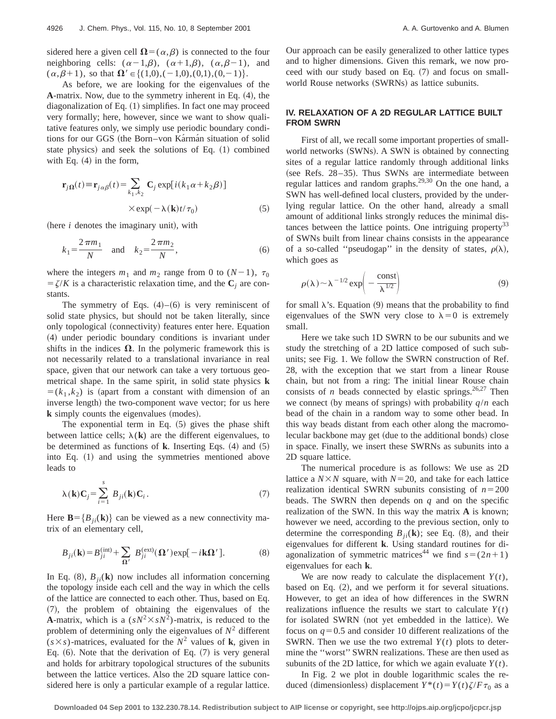sidered here a given cell  $\Omega = (\alpha, \beta)$  is connected to the four neighboring cells:  $(\alpha-1,\beta)$ ,  $(\alpha+1,\beta)$ ,  $(\alpha,\beta-1)$ , and  $(\alpha,\beta+1)$ , so that  $\Omega' \in \{(1,0),(-1,0),(0,1),(0,-1)\}.$ 

As before, we are looking for the eigenvalues of the **A**-matrix. Now, due to the symmetry inherent in Eq.  $(4)$ , the diagonalization of Eq.  $(1)$  simplifies. In fact one may proceed very formally; here, however, since we want to show qualitative features only, we simply use periodic boundary conditions for our GGS (the Born–von Karman situation of solid state physics) and seek the solutions of Eq.  $(1)$  combined with Eq.  $(4)$  in the form,

$$
\mathbf{r}_{j\Omega}(t) \equiv \mathbf{r}_{j\alpha\beta}(t) = \sum_{k_1, k_2} \mathbf{C}_j \exp[i(k_1\alpha + k_2\beta)]
$$
  
× exp(- $\lambda$ (**k**) $t/\tau_0$ ) (5)

(here  $i$  denotes the imaginary unit), with

$$
k_1 = \frac{2\pi m_1}{N} \quad \text{and} \quad k_2 = \frac{2\pi m_2}{N},\tag{6}
$$

where the integers  $m_1$  and  $m_2$  range from 0 to  $(N-1)$ ,  $\tau_0$  $=\zeta/K$  is a characteristic relaxation time, and the  $\mathbf{C}_i$  are constants.

The symmetry of Eqs.  $(4)$ – $(6)$  is very reminiscent of solid state physics, but should not be taken literally, since only topological (connectivity) features enter here. Equation ~4! under periodic boundary conditions is invariant under shifts in the indices  $\Omega$ . In the polymeric framework this is not necessarily related to a translational invariance in real space, given that our network can take a very tortuous geometrical shape. In the same spirit, in solid state physics **k**  $=(k_1, k_2)$  is (apart from a constant with dimension of an inverse length) the two-component wave vector; for us here **k** simply counts the eigenvalues (modes).

The exponential term in Eq.  $(5)$  gives the phase shift between lattice cells;  $\lambda(\bf{k})$  are the different eigenvalues, to be determined as functions of  $\bf{k}$ . Inserting Eqs.  $(4)$  and  $(5)$ into Eq.  $(1)$  and using the symmetries mentioned above leads to

$$
\lambda(\mathbf{k})\mathbf{C}_j = \sum_{i=1}^s B_{ji}(\mathbf{k})\mathbf{C}_i.
$$
 (7)

Here  $\mathbf{B} = \{B_{ji}(\mathbf{k})\}$  can be viewed as a new connectivity matrix of an elementary cell,

$$
B_{ji}(\mathbf{k}) = B_{ji}^{(\text{int})} + \sum_{\Omega'} B_{ji}^{(\text{ext})}(\Omega') \exp[-i\mathbf{k}\Omega'].
$$
 (8)

In Eq.  $(8)$ ,  $B_{ii}(\mathbf{k})$  now includes all information concerning the topology inside each cell and the way in which the cells of the lattice are connected to each other. Thus, based on Eq. ~7!, the problem of obtaining the eigenvalues of the **A**-matrix, which is a  $(sN^2 \times sN^2)$ -matrix, is reduced to the problem of determining only the eigenvalues of  $N^2$  different  $(s \times s)$ -matrices, evaluated for the  $N^2$  values of **k**, given in Eq.  $(6)$ . Note that the derivation of Eq.  $(7)$  is very general and holds for arbitrary topological structures of the subunits between the lattice vertices. Also the 2D square lattice considered here is only a particular example of a regular lattice. Our approach can be easily generalized to other lattice types and to higher dimensions. Given this remark, we now proceed with our study based on Eq.  $(7)$  and focus on smallworld Rouse networks (SWRNs) as lattice subunits.

### **IV. RELAXATION OF A 2D REGULAR LATTICE BUILT FROM SWRN**

First of all, we recall some important properties of smallworld networks  $(SWNs)$ . A SWN is obtained by connecting sites of a regular lattice randomly through additional links (see Refs.  $28-35$ ). Thus SWNs are intermediate between regular lattices and random graphs.<sup>29,30</sup> On the one hand, a SWN has well-defined local clusters, provided by the underlying regular lattice. On the other hand, already a small amount of additional links strongly reduces the minimal distances between the lattice points. One intriguing property<sup>33</sup> of SWNs built from linear chains consists in the appearance of a so-called "pseudogap" in the density of states,  $\rho(\lambda)$ , which goes as

$$
\rho(\lambda) \sim \lambda^{-1/2} \exp\left(-\frac{\text{const}}{\lambda^{1/2}}\right) \tag{9}
$$

for small  $\lambda$ 's. Equation (9) means that the probability to find eigenvalues of the SWN very close to  $\lambda=0$  is extremely small.

Here we take such 1D SWRN to be our subunits and we study the stretching of a 2D lattice composed of such subunits; see Fig. 1. We follow the SWRN construction of Ref. 28, with the exception that we start from a linear Rouse chain, but not from a ring: The initial linear Rouse chain consists of *n* beads connected by elastic springs.<sup>26,27</sup> Then we connect (by means of springs) with probability  $q/n$  each bead of the chain in a random way to some other bead. In this way beads distant from each other along the macromolecular backbone may get (due to the additional bonds) close in space. Finally, we insert these SWRNs as subunits into a 2D square lattice.

The numerical procedure is as follows: We use as 2D lattice a  $N \times N$  square, with  $N=20$ , and take for each lattice realization identical SWRN subunits consisting of  $n=200$ beads. The SWRN then depends on *q* and on the specific realization of the SWN. In this way the matrix **A** is known; however we need, according to the previous section, only to determine the corresponding  $B_{ii}(\mathbf{k})$ ; see Eq. (8), and their eigenvalues for different **k**. Using standard routines for diagonalization of symmetric matrices<sup>44</sup> we find  $s = (2n+1)$ eigenvalues for each **k**.

We are now ready to calculate the displacement  $Y(t)$ , based on Eq.  $(2)$ , and we perform it for several situations. However, to get an idea of how differences in the SWRN realizations influence the results we start to calculate  $Y(t)$ for isolated SWRN (not yet embedded in the lattice). We focus on  $q=0.5$  and consider 10 different realizations of the SWRN. Then we use the two extremal *Y*(*t*) plots to determine the ''worst'' SWRN realizations. These are then used as subunits of the 2D lattice, for which we again evaluate  $Y(t)$ .

In Fig. 2 we plot in double logarithmic scales the reduced (dimensionless) displacement  $Y^*(t) = Y(t)\zeta/F\tau_0$  as a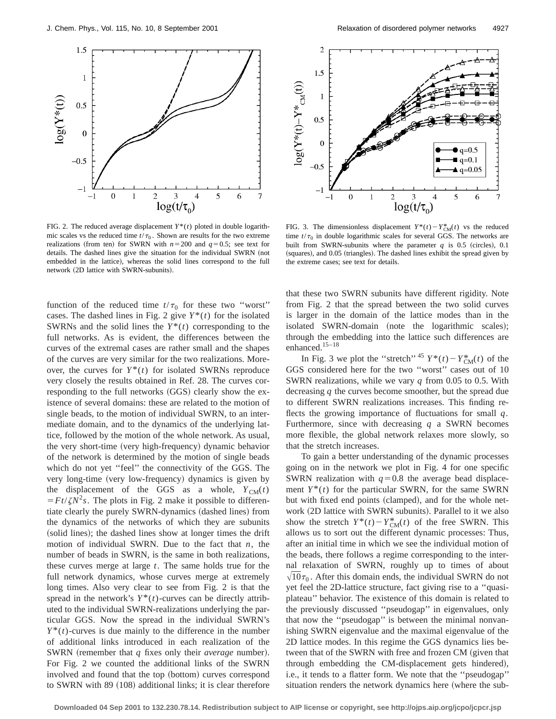

FIG. 2. The reduced average displacement  $Y^*(t)$  ploted in double logarithmic scales vs the reduced time  $t/\tau_0$ . Shown are results for the two extreme realizations (from ten) for SWRN with  $n=200$  and  $q=0.5$ ; see text for details. The dashed lines give the situation for the individual SWRN (not embedded in the lattice), whereas the solid lines correspond to the full network (2D lattice with SWRN-subunits).

function of the reduced time  $t/\tau_0$  for these two "worst" cases. The dashed lines in Fig. 2 give  $Y^*(t)$  for the isolated SWRNs and the solid lines the *Y*\*(*t*) corresponding to the full networks. As is evident, the differences between the curves of the extremal cases are rather small and the shapes of the curves are very similar for the two realizations. Moreover, the curves for  $Y^*(t)$  for isolated SWRNs reproduce very closely the results obtained in Ref. 28. The curves corresponding to the full networks (GGS) clearly show the existence of several domains: these are related to the motion of single beads, to the motion of individual SWRN, to an intermediate domain, and to the dynamics of the underlying lattice, followed by the motion of the whole network. As usual, the very short-time (very high-frequency) dynamic behavior of the network is determined by the motion of single beads which do not yet ''feel'' the connectivity of the GGS. The very long-time (very low-frequency) dynamics is given by the displacement of the GGS as a whole,  $Y_{CM}(t)$  $F = Ft/\zeta N^2 s$ . The plots in Fig. 2 make it possible to differentiate clearly the purely SWRN-dynamics (dashed lines) from the dynamics of the networks of which they are subunits (solid lines); the dashed lines show at longer times the drift motion of individual SWRN. Due to the fact that *n*, the number of beads in SWRN, is the same in both realizations, these curves merge at large *t*. The same holds true for the full network dynamics, whose curves merge at extremely long times. Also very clear to see from Fig. 2 is that the spread in the network's  $Y^*(t)$ -curves can be directly attributed to the individual SWRN-realizations underlying the particular GGS. Now the spread in the individual SWRN's  $Y^*(t)$ -curves is due mainly to the difference in the number of additional links introduced in each realization of the SWRN (remember that *q* fixes only their *average* number). For Fig. 2 we counted the additional links of the SWRN involved and found that the top (bottom) curves correspond to SWRN with  $89$  (108) additional links; it is clear therefore



FIG. 3. The dimensionless displacement  $Y^*(t) - Y_{CM}^*(t)$  vs the reduced time  $t/\tau_0$  in double logarithmic scales for several GGS. The networks are built from SWRN-subunits where the parameter  $q$  is 0.5 (circles), 0.1 (squares), and 0.05 (triangles). The dashed lines exhibit the spread given by the extreme cases; see text for details.

that these two SWRN subunits have different rigidity. Note from Fig. 2 that the spread between the two solid curves is larger in the domain of the lattice modes than in the isolated SWRN-domain (note the logarithmic scales); through the embedding into the lattice such differences are enhanced. $15-18$ 

In Fig. 3 we plot the "stretch"  $45 Y^*(t) - Y_{CM}^*(t)$  of the GGS considered here for the two ''worst'' cases out of 10 SWRN realizations, while we vary *q* from 0.05 to 0.5. With decreasing *q* the curves become smoother, but the spread due to different SWRN realizations increases. This finding reflects the growing importance of fluctuations for small *q*. Furthermore, since with decreasing *q* a SWRN becomes more flexible, the global network relaxes more slowly, so that the stretch increases.

To gain a better understanding of the dynamic processes going on in the network we plot in Fig. 4 for one specific SWRN realization with  $q=0.8$  the average bead displacement  $Y^*(t)$  for the particular SWRN, for the same SWRN but with fixed end points (clamped), and for the whole network (2D lattice with SWRN subunits). Parallel to it we also show the stretch  $Y^*(t) - Y_{CM}^*(t)$  of the free SWRN. This allows us to sort out the different dynamic processes: Thus, after an initial time in which we see the individual motion of the beads, there follows a regime corresponding to the internal relaxation of SWRN, roughly up to times of about  $\sqrt{10\tau_0}$ . After this domain ends, the individual SWRN do not yet feel the 2D-lattice structure, fact giving rise to a ''quasiplateau'' behavior. The existence of this domain is related to the previously discussed ''pseudogap'' in eigenvalues, only that now the ''pseudogap'' is between the minimal nonvanishing SWRN eigenvalue and the maximal eigenvalue of the 2D lattice modes. In this regime the GGS dynamics lies between that of the SWRN with free and frozen CM (given that through embedding the CM-displacement gets hindered), i.e., it tends to a flatter form. We note that the ''pseudogap'' situation renders the network dynamics here (where the sub-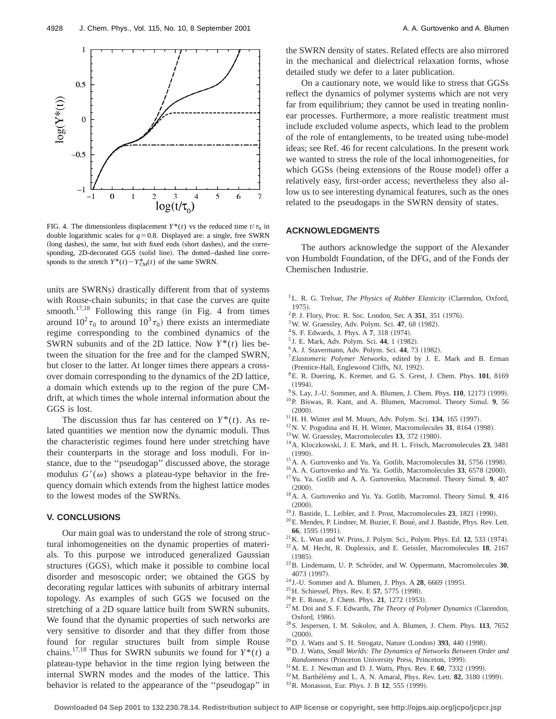

FIG. 4. The dimensionless displacement  $Y^*(t)$  vs the reduced time  $t/\tau_0$  in double logarithmic scales for  $q=0.8$ . Displayed are: a single, free SWRN (long dashes), the same, but with fixed ends (short dashes), and the corresponding, 2D-decorated GGS (solid line). The dotted–dashed line corresponds to the stretch  $Y^*(t) - Y_{CM}^*(t)$  of the same SWRN.

units are SWRNs) drastically different from that of systems with Rouse-chain subunits; in that case the curves are quite smooth.<sup>17,18</sup> Following this range (in Fig. 4 from times around  $10^2 \tau_0$  to around  $10^3 \tau_0$ ) there exists an intermediate regime corresponding to the combined dynamics of the SWRN subunits and of the 2D lattice. Now  $Y^*(t)$  lies between the situation for the free and for the clamped SWRN, but closer to the latter. At longer times there appears a crossover domain corresponding to the dynamics of the 2D lattice, a domain which extends up to the region of the pure CMdrift, at which times the whole internal information about the GGS is lost.

The discussion thus far has centered on  $Y^*(t)$ . As related quantities we mention now the dynamic moduli. Thus the characteristic regimes found here under stretching have their counterparts in the storage and loss moduli. For instance, due to the ''pseudogap'' discussed above, the storage modulus  $G'(\omega)$  shows a plateau-type behavior in the frequency domain which extends from the highest lattice modes to the lowest modes of the SWRNs.

#### **V. CONCLUSIONS**

Our main goal was to understand the role of strong structural inhomogeneities on the dynamic properties of materials. To this purpose we introduced generalized Gaussian structures (GGS), which make it possible to combine local disorder and mesoscopic order; we obtained the GGS by decorating regular lattices with subunits of arbitrary internal topology. As examples of such GGS we focused on the stretching of a 2D square lattice built from SWRN subunits. We found that the dynamic properties of such networks are very sensitive to disorder and that they differ from those found for regular structures built from simple Rouse chains.<sup>17,18</sup> Thus for SWRN subunits we found for  $Y^*(t)$  a plateau-type behavior in the time region lying between the internal SWRN modes and the modes of the lattice. This behavior is related to the appearance of the ''pseudogap'' in the SWRN density of states. Related effects are also mirrored in the mechanical and dielectrical relaxation forms, whose detailed study we defer to a later publication.

On a cautionary note, we would like to stress that GGSs reflect the dynamics of polymer systems which are not very far from equilibrium; they cannot be used in treating nonlinear processes. Furthermore, a more realistic treatment must include excluded volume aspects, which lead to the problem of the role of entanglements, to be treated using tube-model ideas; see Ref. 46 for recent calculations. In the present work we wanted to stress the role of the local inhomogeneities, for which GGSs (being extensions of the Rouse model) offer a relatively easy, first-order access; nevertheless they also allow us to see interesting dynamical features, such as the ones related to the pseudogaps in the SWRN density of states.

## **ACKNOWLEDGMENTS**

The authors acknowledge the support of the Alexander von Humboldt Foundation, of the DFG, and of the Fonds der Chemischen Industrie.

- <sup>1</sup>L. R. G. Treloar, *The Physics of Rubber Elasticity* (Clarendon, Oxford, 1975).
- <sup>2</sup>P. J. Flory, Proc. R. Soc. London, Ser. A 351, 351 (1976).
- <sup>3</sup>W. W. Graessley, Adv. Polym. Sci. 47, 68 (1982).
- <sup>4</sup> S. F. Edwards, J. Phys. A 7, 318 (1974).
- <sup>5</sup> J. E. Mark, Adv. Polym. Sci. 44, 1 (1982).
- <sup>6</sup> A. J. Stavermann, Adv. Polym. Sci. 44, 73 (1982).
- <sup>7</sup>*Elastomeric Polymer Networks*, edited by J. E. Mark and B. Erman (Prentice-Hall, Englewood Cliffs, NJ, 1992).
- 8E. R. Duering, K. Kremer, and G. S. Grest, J. Chem. Phys. **101**, 8169  $(1994)$ .
- <sup>9</sup> S. Lay, J.-U. Sommer, and A. Blumen, J. Chem. Phys. **110**, 12173 (1999).
- 10P. Biswas, R. Kant, and A. Blumen, Macromol. Theory Simul. **9**, 56  $(2000).$
- $11$  H. H. Winter and M. Mours, Adv. Polym. Sci. 134, 165 (1997).
- $12$ N. V. Pogodina and H. H. Winter, Macromolecules 31, 8164 (1998).
- $13$  W. W. Graessley, Macromolecules 13, 372 (1980).
- 14A. Kloczkowski, J. E. Mark, and H. L. Frisch, Macromolecules **23**, 3481  $(1990)$ .
- <sup>15</sup>A. A. Gurtovenko and Yu. Ya. Gotlib, Macromolecules 31, 5756 (1998).
- <sup>16</sup> A. A. Gurtovenko and Yu. Ya. Gotlib, Macromolecules 33, 6578 (2000).
- 17Yu. Ya. Gotlib and A. A. Gurtovenko, Macromol. Theory Simul. **9**, 407  $(2000)$ .
- 18A. A. Gurtovenko and Yu. Ya. Gotlib, Macromol. Theory Simul. **9**, 416  $(2000).$
- <sup>19</sup> J. Bastide, L. Leibler, and J. Prost, Macromolecules **23**, 1821 (1990).
- $^{20}$ E. Mendes, P. Lindner, M. Buzier, F. Boué, and J. Bastide, Phys. Rev. Lett. **66**, 1595 (1991).
- $^{21}$ K. L. Wun and W. Prins, J. Polym. Sci., Polym. Phys. Ed. 12, 533 (1974).
- 22A. M. Hecht, R. Duplessix, and E. Geissler, Macromolecules **18**, 2167  $(1985).$
- <sup>23</sup>B. Lindemann, U. P. Schröder, and W. Oppermann, Macromolecules 30, 4073 (1997).
- <sup>24</sup> J.-U. Sommer and A. Blumen, J. Phys. A **28**, 6669 (1995).
- <sup>25</sup> H. Schiessel, Phys. Rev. E **57**, 5775 (1998).
- <sup>26</sup> P. E. Rouse, J. Chem. Phys. **21**, 1272 (1953).
- <sup>27</sup>M. Doi and S. F. Edwards, *The Theory of Polymer Dynamics* (Clarendon, Oxford, 1986).
- 28S. Jespersen, I. M. Sokolov, and A. Blumen, J. Chem. Phys. **113**, 7652  $(2000).$
- $^{29}$ D. J. Watts and S. H. Strogatz, Nature (London)  $393$ , 440 (1998).
- 30D. J. Watts, *Small Worlds: The Dynamics of Networks Between Order and*  $Randomness$  (Princeton University Press, Princeton, 1999).
- <sup>31</sup> M. E. J. Newman and D. J. Watts, Phys. Rev. E 60, 7332 (1999).
- <sup>32</sup> M. Barthélémy and L. A. N. Amaral, Phys. Rev. Lett. **82**, 3180 (1999).
- <sup>33</sup> R. Monasson, Eur. Phys. J. B 12, 555 (1999).